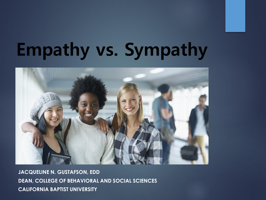# **Empathy vs. Sympathy**



**JACQUELINE N. GUSTAFSON, EDD DEAN, COLLEGE OF BEHAVIORAL AND SOCIAL SCIENCES CALIFORNIA BAPTIST UNIVERSITY**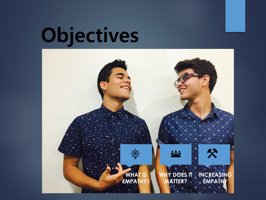# **Objectives**

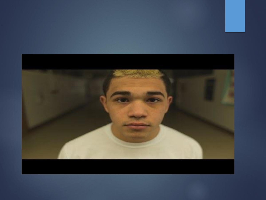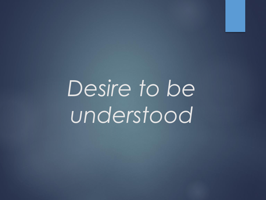Desire to be *understood*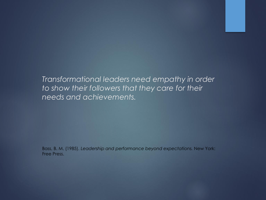*Transformational leaders need empathy in order to show their followers that they care for their needs and achievements.*

Bass, B. M. (1985). *Leadership and performance beyond expectations.* New York: Free Press.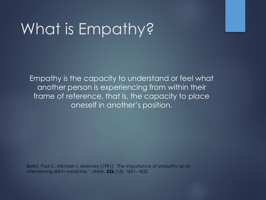Empathy is the capacity to understand or feel what another person is experiencing from within their frame of reference, that is, the capacity to place oneself in another's position.

*Bellet, Paul S.; Michael J. Maloney (1991). "The importance of empathy as an interviewing skill in medicine." JAMA. 226 (13): 1831–1832.*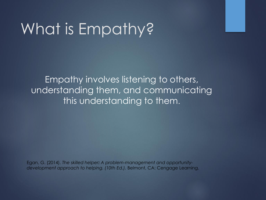Empathy involves listening to others, understanding them, and communicating this understanding to them.

Egan, G. (2014). *The skilled helper: A problem-management and opportunitydevelopment approach to helping. (10th Ed.).* Belmont, CA: Cengage Learning.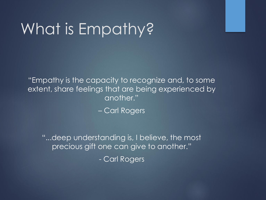"Empathy is the capacity to recognize and, to some extent, share feelings that are being experienced by another."

– Carl Rogers

"...deep understanding is, I believe, the most precious gift one can give to another." - Carl Rogers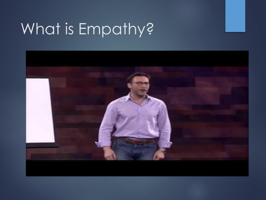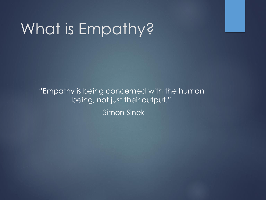"Empathy is being concerned with the human being, not just their output." - Simon Sinek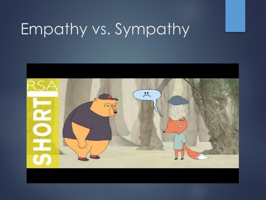## Empathy vs. Sympathy

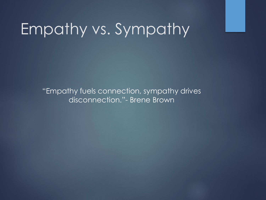### Empathy vs. Sympathy

"Empathy fuels connection, sympathy drives disconnection."- Brene Brown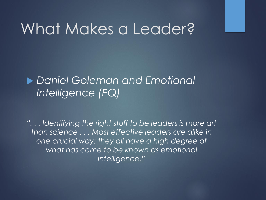### What Makes a Leader?

 *Daniel Goleman and Emotional Intelligence (EQ)*

*". . . Identifying the right stuff to be leaders is more art than science . . . Most effective leaders are alike in one crucial way: they all have a high degree of what has come to be known as emotional intelligence."*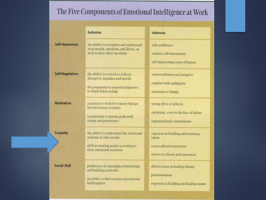#### The Five Components of Emotional Intelligence at Work

|                        | <b>Definition</b>                                                                                                                       | <b>Hallmarks</b>                                                                                                |
|------------------------|-----------------------------------------------------------------------------------------------------------------------------------------|-----------------------------------------------------------------------------------------------------------------|
| <b>Self-Awareness</b>  | the ability to recognize and understand<br>your moods, emotions, and drives, as<br>well as their effect on others                       | self-confidence<br>realistic self-assessment<br>self-deprecating sense of humor                                 |
| <b>Self-Regulation</b> | the ability to control or redirect<br>disruptive impulses and moods<br>the propensity to suspend judgment-<br>to think before acting    | trustworthiness and integrity<br>comfort with ambiguity<br>openness to change                                   |
| <b>Motivation</b>      | a passion to work for reasons that go<br>beyond money or status<br>a propensity to pursue goals with<br>energy and persistence          | strong drive to achieve<br>optimism, even in the face of failure<br>organizational commitment                   |
| <b>Empathy</b>         | the ability to understand the emotional<br>makeup of other people<br>skill in treating people according to<br>their emotional reactions | expertise in building and retaining<br>talent<br>cross-cultural sensitivity<br>service to clients and customers |
| <b>Social Skill</b>    | proficiency in managing relationships<br>and building networks<br>an ability to find common ground and<br>build rapport                 | effectiveness in leading change<br>persuasiveness<br>expertise in building and leading teams                    |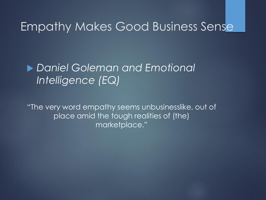### *Daniel Goleman and Emotional Intelligence (EQ)*

"The very word empathy seems unbusinesslike, out of place amid the tough realities of (the) marketplace."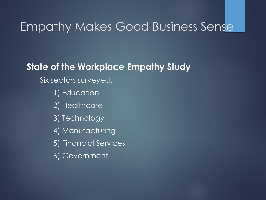#### **State of the Workplace Empathy Study**

Six sectors surveyed:

1) Education

2) Healthcare

3) Technology

4) Manufacturing

5) Financial Services

6) Government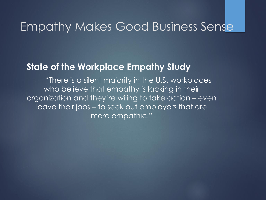#### **State of the Workplace Empathy Study**

"There is a silent majority in the U.S. workplaces who believe that empathy is lacking in their organization and they're wiling to take action – even leave their jobs – to seek out employers that are more empathic."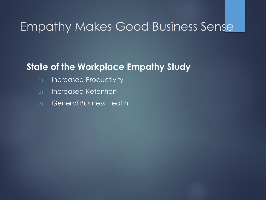#### **State of the Workplace Empathy Study**

- 1) Increased Productivity
- 2) Increased Retention
- 3) General Business Health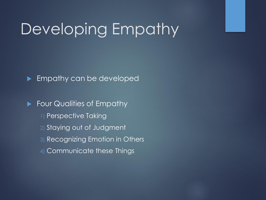## Developing Empathy

**Empathy can be developed** 

**Four Qualities of Empathy** 1) Perspective Taking 2) Staying out of Judgment 3) Recognizing Emotion in Others 4) Communicate these Things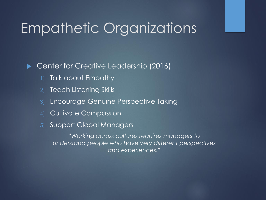### Empathetic Organizations

#### Center for Creative Leadership (2016)

- 1) Talk about Empathy
- 2) Teach Listening Skills
- 3) Encourage Genuine Perspective Taking
- 4) Cultivate Compassion
- 5) Support Global Managers

*"Working across cultures requires managers to understand people who have very different perspectives and experiences."*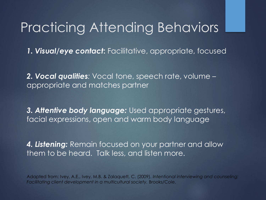### Practicing Attending Behaviors

*1. Visual/eye contact***:** Facilitative, appropriate, focused

*2. Vocal qualities:* Vocal tone, speech rate, volume – appropriate and matches partner

*3. Attentive body language:* Used appropriate gestures, facial expressions, open and warm body language

*4. Listening:* Remain focused on your partner and allow them to be heard. Talk less, and listen more.

Adapted from: Ivey, A.E., Ivey, M.B. & Zalaquett, C. (2009). *Intentional interviewing and counseling: Facilitating client development in a multicultural society.* Brooks/Cole.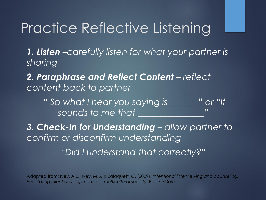### Practice Reflective Listening

*1. Listen –carefully listen for what your partner is sharing*

*2. Paraphrase and Reflect Content – reflect content back to partner*

*" So what I hear you saying is\_\_\_\_\_\_\_" or "It sounds to me that \_\_\_\_\_\_\_\_\_\_\_\_\_\_\_"*

*3. Check-In for Understanding – allow partner to confirm or disconfirm understanding "Did I understand that correctly?"*

Adapted from: Ivey, A.E., Ivey, M.B. & Zalaquett, C. (2009). *Intentional interviewing and counseling: Facilitating client development in a multicultural society*. Brooks/Cole.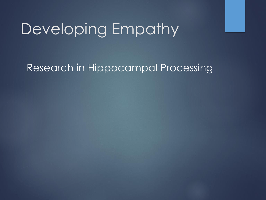## Developing Empathy

Research in Hippocampal Processing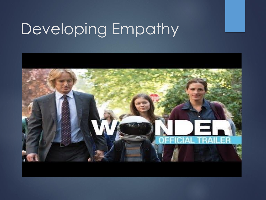## Developing Empathy

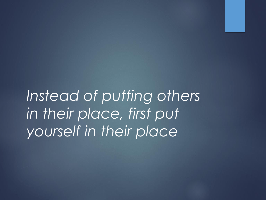*Instead of putting others in their place, first put yourself in their place.*